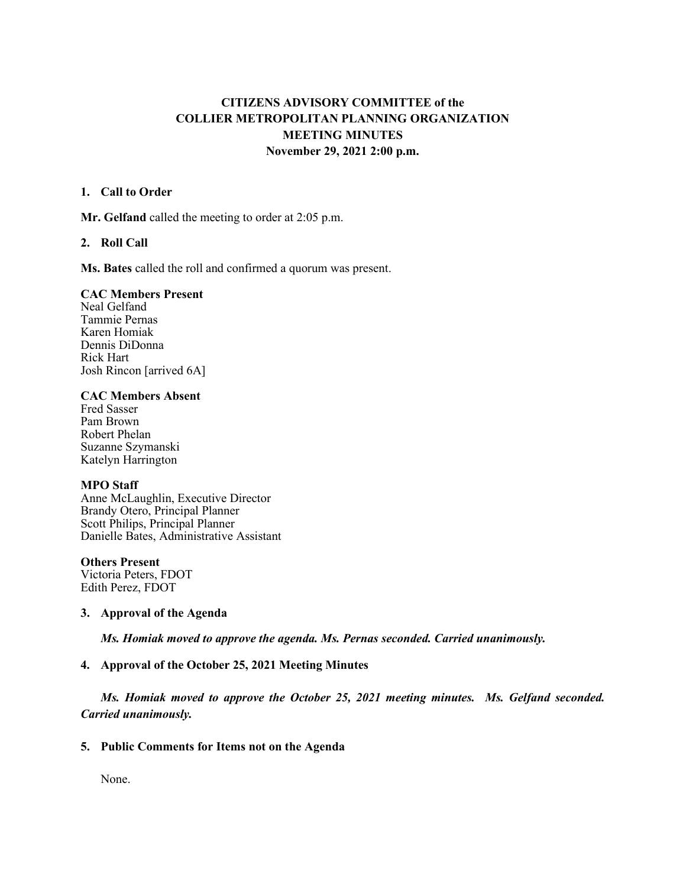# **CITIZENS ADVISORY COMMITTEE of the COLLIER METROPOLITAN PLANNING ORGANIZATION MEETING MINUTES November 29, 2021 2:00 p.m.**

### **1. Call to Order**

**Mr. Gelfand** called the meeting to order at 2:05 p.m.

### **2. Roll Call**

**Ms. Bates** called the roll and confirmed a quorum was present.

#### **CAC Members Present**

Neal Gelfand Tammie Pernas Karen Homiak Dennis DiDonna Rick Hart Josh Rincon [arrived 6A]

### **CAC Members Absent**

Fred Sasser Pam Brown Robert Phelan Suzanne Szymanski Katelyn Harrington

## **MPO Staff**

Anne McLaughlin, Executive Director Brandy Otero, Principal Planner Scott Philips, Principal Planner Danielle Bates, Administrative Assistant

#### **Others Present**

Victoria Peters, FDOT Edith Perez, FDOT

## **3. Approval of the Agenda**

*Ms. Homiak moved to approve the agenda. Ms. Pernas seconded. Carried unanimously.*

# **4. Approval of the October 25, 2021 Meeting Minutes**

*Ms. Homiak moved to approve the October 25, 2021 meeting minutes. Ms. Gelfand seconded. Carried unanimously.* 

## **5. Public Comments for Items not on the Agenda**

None.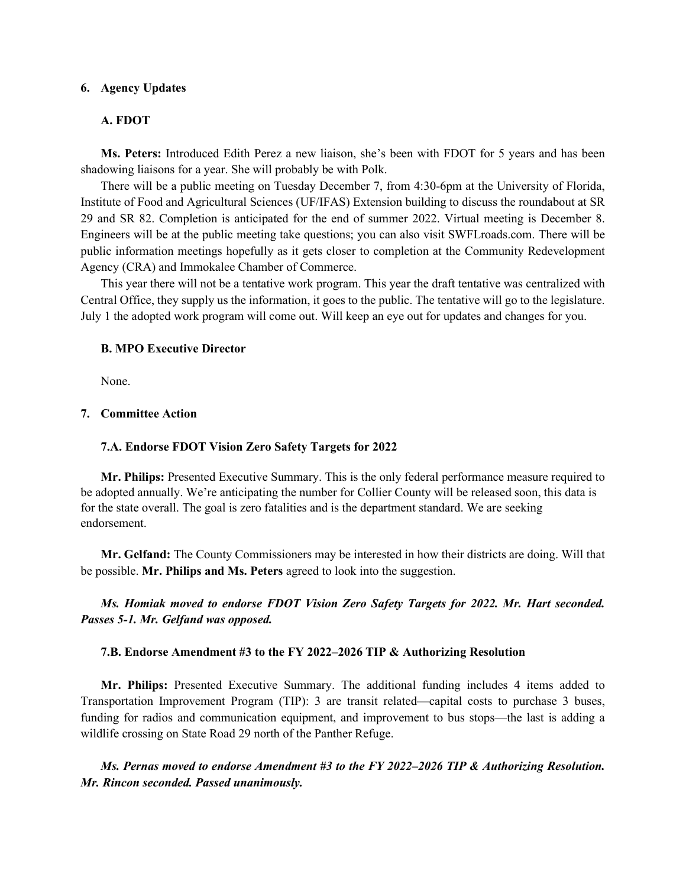### **6. Agency Updates**

#### **A. FDOT**

**Ms. Peters:** Introduced Edith Perez a new liaison, she's been with FDOT for 5 years and has been shadowing liaisons for a year. She will probably be with Polk.

There will be a public meeting on Tuesday December 7, from 4:30-6pm at the University of Florida, Institute of Food and Agricultural Sciences (UF/IFAS) Extension building to discuss the roundabout at SR 29 and SR 82. Completion is anticipated for the end of summer 2022. Virtual meeting is December 8. Engineers will be at the public meeting take questions; you can also visit SWFLroads.com. There will be public information meetings hopefully as it gets closer to completion at the Community Redevelopment Agency (CRA) and Immokalee Chamber of Commerce.

This year there will not be a tentative work program. This year the draft tentative was centralized with Central Office, they supply us the information, it goes to the public. The tentative will go to the legislature. July 1 the adopted work program will come out. Will keep an eye out for updates and changes for you.

#### **B. MPO Executive Director**

None.

#### **7. Committee Action**

#### **7.A. Endorse FDOT Vision Zero Safety Targets for 2022**

**Mr. Philips:** Presented Executive Summary. This is the only federal performance measure required to be adopted annually. We're anticipating the number for Collier County will be released soon, this data is for the state overall. The goal is zero fatalities and is the department standard. We are seeking endorsement.

**Mr. Gelfand:** The County Commissioners may be interested in how their districts are doing. Will that be possible. **Mr. Philips and Ms. Peters** agreed to look into the suggestion.

*Ms. Homiak moved to endorse FDOT Vision Zero Safety Targets for 2022. Mr. Hart seconded. Passes 5-1. Mr. Gelfand was opposed.*

#### **7.B. Endorse Amendment #3 to the FY 2022–2026 TIP & Authorizing Resolution**

**Mr. Philips:** Presented Executive Summary. The additional funding includes 4 items added to Transportation Improvement Program (TIP): 3 are transit related—capital costs to purchase 3 buses, funding for radios and communication equipment, and improvement to bus stops—the last is adding a wildlife crossing on State Road 29 north of the Panther Refuge.

*Ms. Pernas moved to endorse Amendment #3 to the FY 2022–2026 TIP & Authorizing Resolution. Mr. Rincon seconded. Passed unanimously.*